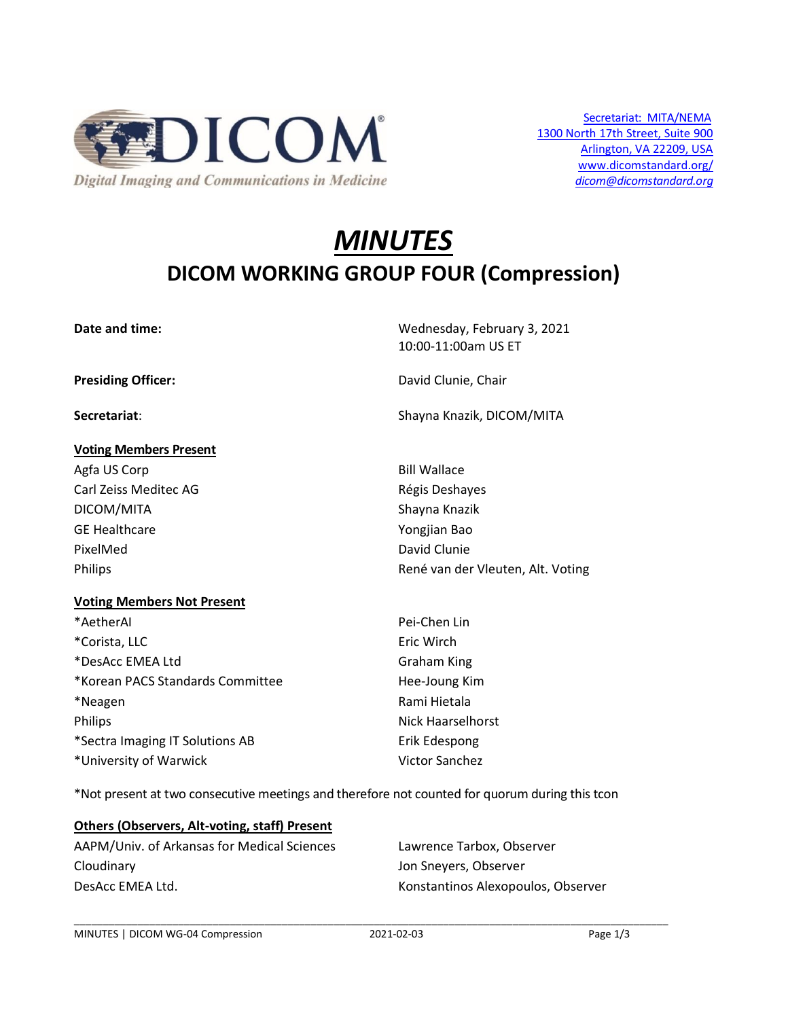

# *MINUTES* **DICOM WORKING GROUP FOUR (Compression)**

| Date and time:                    | Wednesday, February 3, 2021<br>10:00-11:00am US ET |
|-----------------------------------|----------------------------------------------------|
| <b>Presiding Officer:</b>         | David Clunie, Chair                                |
| Secretariat:                      | Shayna Knazik, DICOM/MITA                          |
| <b>Voting Members Present</b>     |                                                    |
| Agfa US Corp                      | <b>Bill Wallace</b>                                |
| Carl Zeiss Meditec AG             | Régis Deshayes                                     |
| DICOM/MITA                        | Shayna Knazik                                      |
| <b>GE Healthcare</b>              | Yongjian Bao                                       |
| PixelMed                          | David Clunie                                       |
| <b>Philips</b>                    | René van der Vleuten, Alt. Voting                  |
| <b>Voting Members Not Present</b> |                                                    |
| *AetherAl                         | Pei-Chen Lin                                       |
| *Corista, LLC                     | Eric Wirch                                         |
| *DesAcc EMEA Ltd                  | <b>Graham King</b>                                 |
| *Korean PACS Standards Committee  | Hee-Joung Kim                                      |
| *Neagen                           | Rami Hietala                                       |
| <b>Philips</b>                    | Nick Haarselhorst                                  |
| *Sectra Imaging IT Solutions AB   | Erik Edespong                                      |
| *University of Warwick            | <b>Victor Sanchez</b>                              |

\*Not present at two consecutive meetings and therefore not counted for quorum during this tcon

#### **Others (Observers, Alt-voting, staff) Present**

AAPM/Univ. of Arkansas for Medical Sciences Lawrence Tarbox, Observer Cloudinary Jon Sneyers, Observer DesAcc EMEA Ltd. Konstantinos Alexopoulos, Observer

\_\_\_\_\_\_\_\_\_\_\_\_\_\_\_\_\_\_\_\_\_\_\_\_\_\_\_\_\_\_\_\_\_\_\_\_\_\_\_\_\_\_\_\_\_\_\_\_\_\_\_\_\_\_\_\_\_\_\_\_\_\_\_\_\_\_\_\_\_\_\_\_\_\_\_\_\_\_\_\_\_\_\_\_\_\_\_\_\_\_\_\_\_\_\_\_\_\_\_\_\_\_\_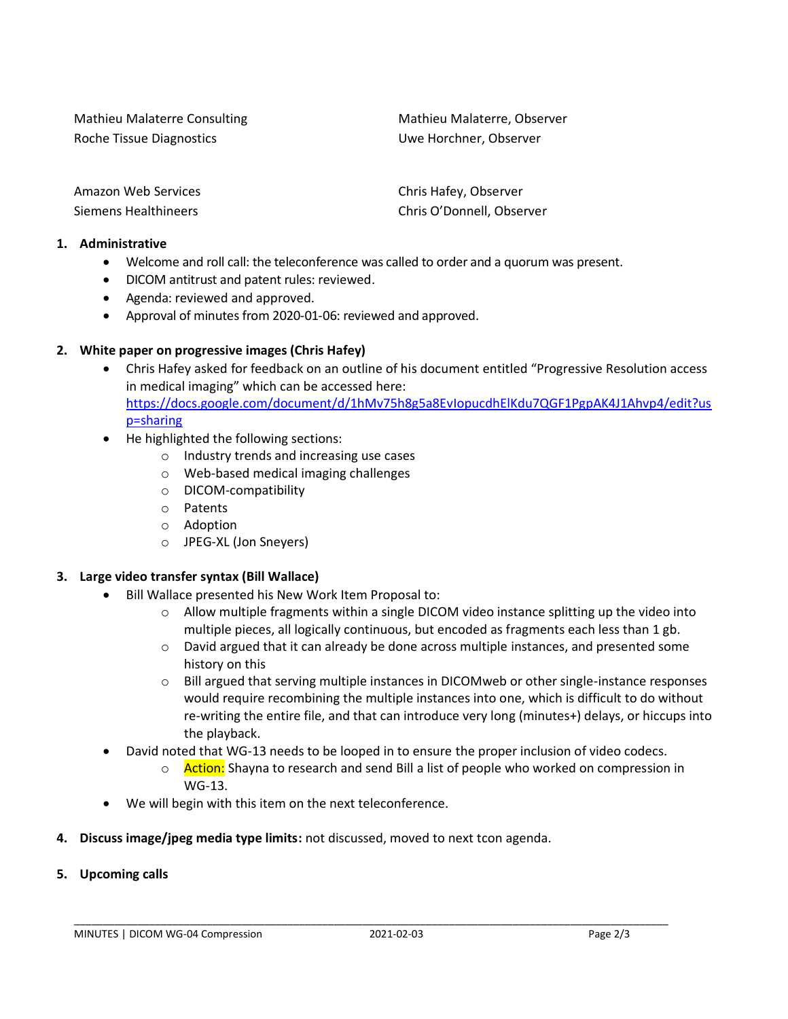Mathieu Malaterre Consulting Mathieu Malaterre, Observer Roche Tissue Diagnostics The Controller Controller Uwe Horchner, Observer

| Amazon Web Services  |
|----------------------|
| Siemens Healthineers |

Chris Hafey, Observer Chris O'Donnell, Observer

### **1. Administrative**

- Welcome and roll call: the teleconference was called to order and a quorum was present.
- DICOM antitrust and patent rules: reviewed.
- Agenda: reviewed and approved.
- Approval of minutes from 2020-01-06: reviewed and approved.

## **2. White paper on progressive images (Chris Hafey)**

- Chris Hafey asked for feedback on an outline of his document entitled "Progressive Resolution access in medical imaging" which can be accessed here: [https://docs.google.com/document/d/1hMv75h8g5a8EvIopucdhElKdu7QGF1PgpAK4J1Ahvp4/edit?us](https://docs.google.com/document/d/1hMv75h8g5a8EvIopucdhElKdu7QGF1PgpAK4J1Ahvp4/edit?usp=sharing) [p=sharing](https://docs.google.com/document/d/1hMv75h8g5a8EvIopucdhElKdu7QGF1PgpAK4J1Ahvp4/edit?usp=sharing)
- He highlighted the following sections:
	- o Industry trends and increasing use cases
	- o Web-based medical imaging challenges
	- o DICOM-compatibility
	- o Patents
	- o Adoption
	- o JPEG-XL (Jon Sneyers)

## **3. Large video transfer syntax (Bill Wallace)**

- Bill Wallace presented his New Work Item Proposal to:
	- $\circ$  Allow multiple fragments within a single DICOM video instance splitting up the video into multiple pieces, all logically continuous, but encoded as fragments each less than 1 gb.
	- $\circ$  David argued that it can already be done across multiple instances, and presented some history on this
	- $\circ$  Bill argued that serving multiple instances in DICOMweb or other single-instance responses would require recombining the multiple instances into one, which is difficult to do without re-writing the entire file, and that can introduce very long (minutes+) delays, or hiccups into the playback.
- David noted that WG-13 needs to be looped in to ensure the proper inclusion of video codecs.
	- o **Action:** Shayna to research and send Bill a list of people who worked on compression in WG-13.
- We will begin with this item on the next teleconference.
- **4. Discuss image/jpeg media type limits:** not discussed, moved to next tcon agenda.
- **5. Upcoming calls**

\_\_\_\_\_\_\_\_\_\_\_\_\_\_\_\_\_\_\_\_\_\_\_\_\_\_\_\_\_\_\_\_\_\_\_\_\_\_\_\_\_\_\_\_\_\_\_\_\_\_\_\_\_\_\_\_\_\_\_\_\_\_\_\_\_\_\_\_\_\_\_\_\_\_\_\_\_\_\_\_\_\_\_\_\_\_\_\_\_\_\_\_\_\_\_\_\_\_\_\_\_\_\_